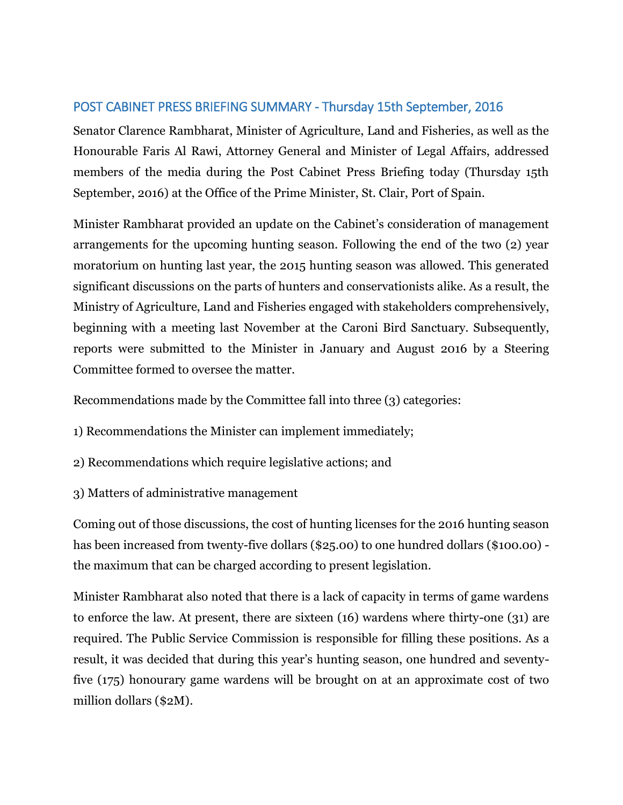## POST CABINET PRESS BRIEFING SUMMARY - Thursday 15th September, 2016

Senator Clarence Rambharat, Minister of Agriculture, Land and Fisheries, as well as the Honourable Faris Al Rawi, Attorney General and Minister of Legal Affairs, addressed members of the media during the Post Cabinet Press Briefing today (Thursday 15th September, 2016) at the Office of the Prime Minister, St. Clair, Port of Spain.

Minister Rambharat provided an update on the Cabinet's consideration of management arrangements for the upcoming hunting season. Following the end of the two (2) year moratorium on hunting last year, the 2015 hunting season was allowed. This generated significant discussions on the parts of hunters and conservationists alike. As a result, the Ministry of Agriculture, Land and Fisheries engaged with stakeholders comprehensively, beginning with a meeting last November at the Caroni Bird Sanctuary. Subsequently, reports were submitted to the Minister in January and August 2016 by a Steering Committee formed to oversee the matter.

Recommendations made by the Committee fall into three (3) categories:

- 1) Recommendations the Minister can implement immediately;
- 2) Recommendations which require legislative actions; and
- 3) Matters of administrative management

Coming out of those discussions, the cost of hunting licenses for the 2016 hunting season has been increased from twenty-five dollars (\$25.00) to one hundred dollars (\$100.00) the maximum that can be charged according to present legislation.

Minister Rambharat also noted that there is a lack of capacity in terms of game wardens to enforce the law. At present, there are sixteen (16) wardens where thirty-one (31) are required. The Public Service Commission is responsible for filling these positions. As a result, it was decided that during this year's hunting season, one hundred and seventyfive (175) honourary game wardens will be brought on at an approximate cost of two million dollars (\$2M).